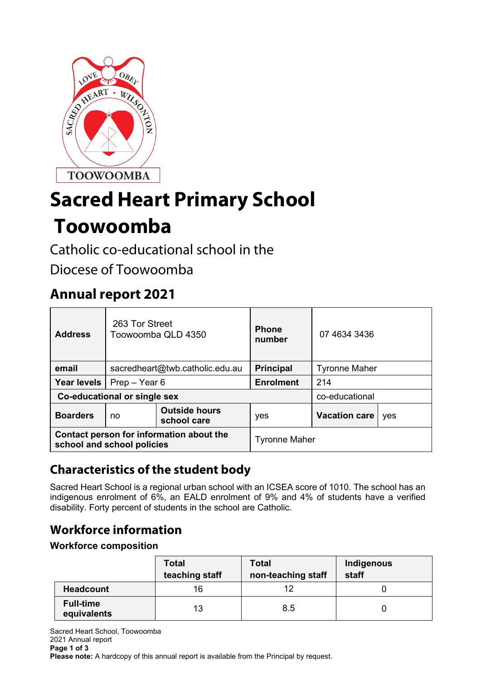

# **Sacred Heart Primary School**

## **Toowoomba**

Catholic co-educational school in the

Diocese of Toowoomba

## **Annual report 2021**

| <b>Address</b>                                                         | 263 Tor Street<br>Toowoomba QLD 4350 |                                     | <b>Phone</b><br>number | 07 4634 3436         |     |
|------------------------------------------------------------------------|--------------------------------------|-------------------------------------|------------------------|----------------------|-----|
| email                                                                  | sacredheart@twb.catholic.edu.au      |                                     | <b>Principal</b>       | <b>Tyronne Maher</b> |     |
| Year levels                                                            | Prep - Year 6                        |                                     | <b>Enrolment</b>       | 214                  |     |
| Co-educational or single sex                                           |                                      |                                     |                        | co-educational       |     |
| <b>Boarders</b>                                                        | no                                   | <b>Outside hours</b><br>school care | yes                    | <b>Vacation care</b> | yes |
| Contact person for information about the<br>school and school policies |                                      |                                     | <b>Tyronne Maher</b>   |                      |     |

## **Characteristics of the student body**

Sacred Heart School is a regional urban school with an ICSEA score of 1010. The school has an indigenous enrolment of 6%, an EALD enrolment of 9% and 4% of students have a verified disability. Forty percent of students in the school are Catholic.

## **Workforce information**

## **Workforce composition**

|                                 | <b>Total</b><br>teaching staff | <b>Total</b><br>non-teaching staff | Indigenous<br>staff |
|---------------------------------|--------------------------------|------------------------------------|---------------------|
| <b>Headcount</b>                | 16                             | 12                                 |                     |
| <b>Full-time</b><br>equivalents | 13                             | 8.5                                |                     |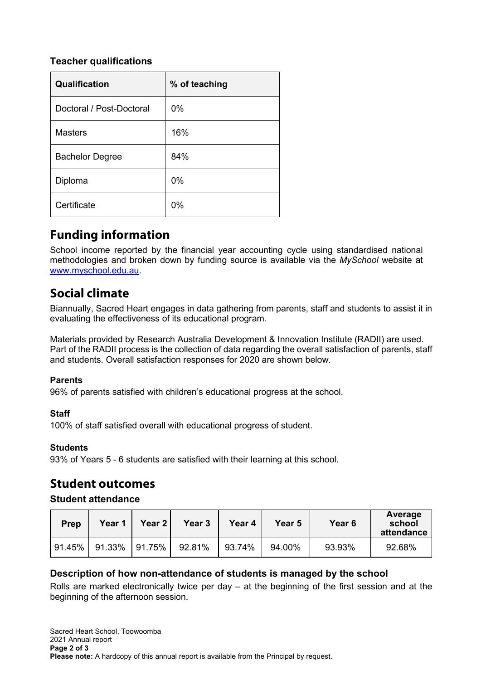## **Teacher qualifications**

| Qualification            | % of teaching |
|--------------------------|---------------|
| Doctoral / Post-Doctoral | $0\%$         |
| <b>Masters</b>           | 16%           |
| <b>Bachelor Degree</b>   | 84%           |
| Diploma                  | 0%            |
| Certificate              | 0%            |

## **Funding information**

School income reported by the financial year accounting cycle using standardised national methodologies and broken down by funding source is available via the *MySchool* website at [www.myschool.edu.au.](http://www.myschool.edu.au/)

## **Social climate**

Biannually, Sacred Heart engages in data gathering from parents, staff and students to assist it in evaluating the effectiveness of its educational program.

Materials provided by Research Australia Development & Innovation Institute (RADII) are used. Part of the RADII process is the collection of data regarding the overall satisfaction of parents, staff and students. Overall satisfaction responses for 2020 are shown below.

#### **Parents**

96% of parents satisfied with children's educational progress at the school.

#### **Staff**

100% of staff satisfied overall with educational progress of student.

#### **Students**

93% of Years 5 - 6 students are satisfied with their learning at this school.

## **Student outcomes**

#### **Student attendance**

| <b>Prep</b> | Year 1 | <b>Year 2</b> | Year <sub>3</sub> | Year 4 | Year 5 | Year <sub>6</sub> | Average<br>school<br>attendance |
|-------------|--------|---------------|-------------------|--------|--------|-------------------|---------------------------------|
| 91.45%      | 91.33% | 91.75%        | 92.81%            | 93.74% | 94.00% | 93.93%            | 92.68%                          |

#### **Description of how non-attendance of students is managed by the school**

Rolls are marked electronically twice per day – at the beginning of the first session and at the beginning of the afternoon session.